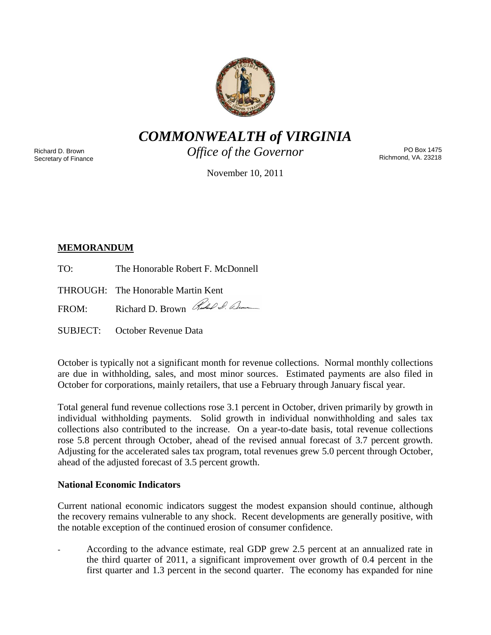

*COMMONWEALTH of VIRGINIA*

Richard D. Brown Secretary of Finance *Office of the Governor*

PO Box 1475 Richmond, VA. 23218

November 10, 2011

# **MEMORANDUM**

TO: The Honorable Robert F. McDonnell

THROUGH: The Honorable Martin Kent

FROM: Richard D. Brown Red & Bun

SUBJECT: October Revenue Data

October is typically not a significant month for revenue collections. Normal monthly collections are due in withholding, sales, and most minor sources. Estimated payments are also filed in October for corporations, mainly retailers, that use a February through January fiscal year.

Total general fund revenue collections rose 3.1 percent in October, driven primarily by growth in individual withholding payments. Solid growth in individual nonwithholding and sales tax collections also contributed to the increase. On a year-to-date basis, total revenue collections rose 5.8 percent through October, ahead of the revised annual forecast of 3.7 percent growth. Adjusting for the accelerated sales tax program, total revenues grew 5.0 percent through October, ahead of the adjusted forecast of 3.5 percent growth.

## **National Economic Indicators**

Current national economic indicators suggest the modest expansion should continue, although the recovery remains vulnerable to any shock. Recent developments are generally positive, with the notable exception of the continued erosion of consumer confidence.

According to the advance estimate, real GDP grew 2.5 percent at an annualized rate in the third quarter of 2011, a significant improvement over growth of 0.4 percent in the first quarter and 1.3 percent in the second quarter. The economy has expanded for nine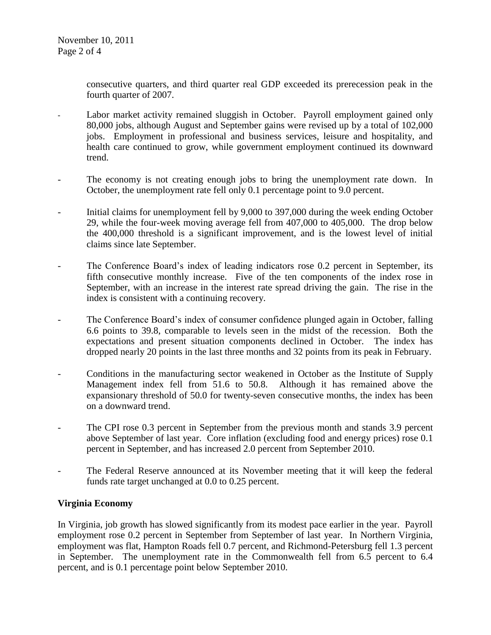consecutive quarters, and third quarter real GDP exceeded its prerecession peak in the fourth quarter of 2007.

- Labor market activity remained sluggish in October. Payroll employment gained only 80,000 jobs, although August and September gains were revised up by a total of 102,000 jobs. Employment in professional and business services, leisure and hospitality, and health care continued to grow, while government employment continued its downward trend.
- The economy is not creating enough jobs to bring the unemployment rate down. In October, the unemployment rate fell only 0.1 percentage point to 9.0 percent.
- Initial claims for unemployment fell by 9,000 to 397,000 during the week ending October 29, while the four-week moving average fell from 407,000 to 405,000. The drop below the 400,000 threshold is a significant improvement, and is the lowest level of initial claims since late September.
- The Conference Board's index of leading indicators rose 0.2 percent in September, its fifth consecutive monthly increase. Five of the ten components of the index rose in September, with an increase in the interest rate spread driving the gain. The rise in the index is consistent with a continuing recovery.
- The Conference Board's index of consumer confidence plunged again in October, falling 6.6 points to 39.8, comparable to levels seen in the midst of the recession. Both the expectations and present situation components declined in October. The index has dropped nearly 20 points in the last three months and 32 points from its peak in February.
- Conditions in the manufacturing sector weakened in October as the Institute of Supply Management index fell from 51.6 to 50.8. Although it has remained above the expansionary threshold of 50.0 for twenty-seven consecutive months, the index has been on a downward trend.
- The CPI rose 0.3 percent in September from the previous month and stands 3.9 percent above September of last year. Core inflation (excluding food and energy prices) rose 0.1 percent in September, and has increased 2.0 percent from September 2010.
- The Federal Reserve announced at its November meeting that it will keep the federal funds rate target unchanged at 0.0 to 0.25 percent.

## **Virginia Economy**

In Virginia, job growth has slowed significantly from its modest pace earlier in the year. Payroll employment rose 0.2 percent in September from September of last year. In Northern Virginia, employment was flat, Hampton Roads fell 0.7 percent, and Richmond-Petersburg fell 1.3 percent in September. The unemployment rate in the Commonwealth fell from 6.5 percent to 6.4 percent, and is 0.1 percentage point below September 2010.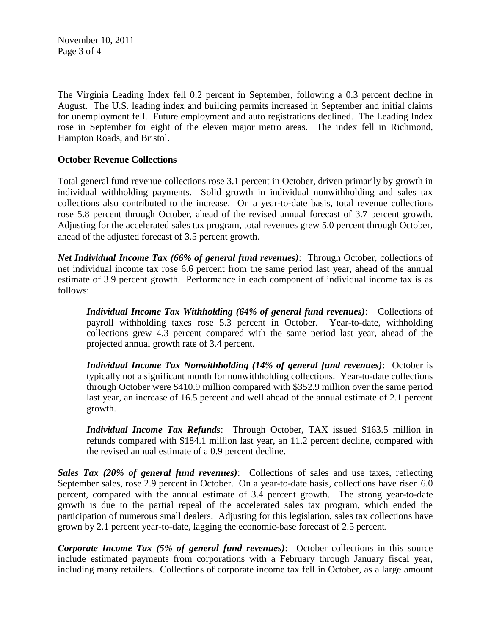November 10, 2011 Page 3 of 4

The Virginia Leading Index fell 0.2 percent in September, following a 0.3 percent decline in August. The U.S. leading index and building permits increased in September and initial claims for unemployment fell. Future employment and auto registrations declined. The Leading Index rose in September for eight of the eleven major metro areas. The index fell in Richmond, Hampton Roads, and Bristol.

### **October Revenue Collections**

Total general fund revenue collections rose 3.1 percent in October, driven primarily by growth in individual withholding payments. Solid growth in individual nonwithholding and sales tax collections also contributed to the increase. On a year-to-date basis, total revenue collections rose 5.8 percent through October, ahead of the revised annual forecast of 3.7 percent growth. Adjusting for the accelerated sales tax program, total revenues grew 5.0 percent through October, ahead of the adjusted forecast of 3.5 percent growth.

*Net Individual Income Tax (66% of general fund revenues)*: Through October, collections of net individual income tax rose 6.6 percent from the same period last year, ahead of the annual estimate of 3.9 percent growth. Performance in each component of individual income tax is as follows:

*Individual Income Tax Withholding (64% of general fund revenues)*: Collections of payroll withholding taxes rose 5.3 percent in October. Year-to-date, withholding collections grew 4.3 percent compared with the same period last year, ahead of the projected annual growth rate of 3.4 percent.

*Individual Income Tax Nonwithholding (14% of general fund revenues)*: October is typically not a significant month for nonwithholding collections. Year-to-date collections through October were \$410.9 million compared with \$352.9 million over the same period last year, an increase of 16.5 percent and well ahead of the annual estimate of 2.1 percent growth.

*Individual Income Tax Refunds*: Through October, TAX issued \$163.5 million in refunds compared with \$184.1 million last year, an 11.2 percent decline, compared with the revised annual estimate of a 0.9 percent decline.

*Sales Tax (20% of general fund revenues)*: Collections of sales and use taxes, reflecting September sales, rose 2.9 percent in October. On a year-to-date basis, collections have risen 6.0 percent, compared with the annual estimate of 3.4 percent growth. The strong year-to-date growth is due to the partial repeal of the accelerated sales tax program, which ended the participation of numerous small dealers. Adjusting for this legislation, sales tax collections have grown by 2.1 percent year-to-date, lagging the economic-base forecast of 2.5 percent.

*Corporate Income Tax (5% of general fund revenues)*: October collections in this source include estimated payments from corporations with a February through January fiscal year, including many retailers. Collections of corporate income tax fell in October, as a large amount